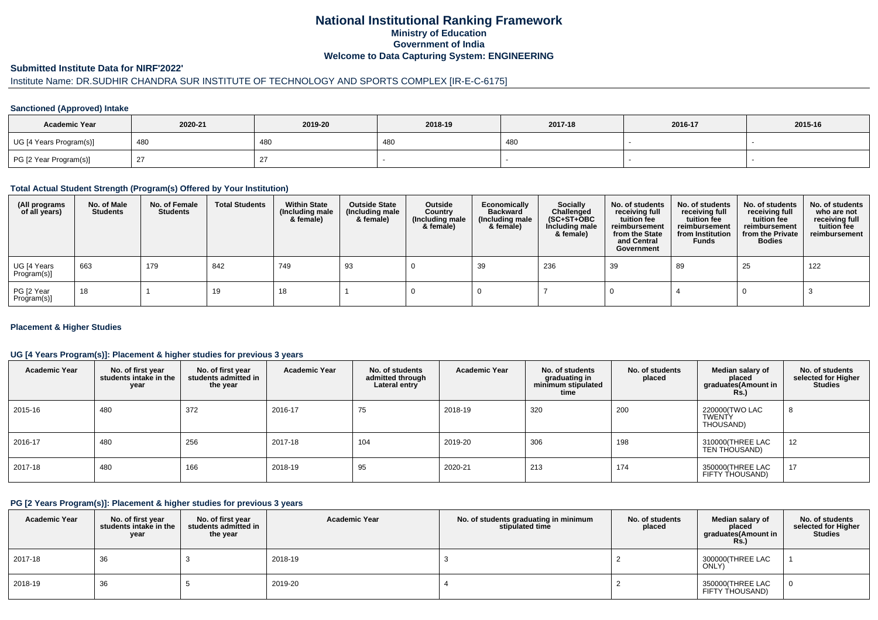## **National Institutional Ranking FrameworkMinistry of Education Government of IndiaWelcome to Data Capturing System: ENGINEERING**

#### **Submitted Institute Data for NIRF'2022'**

# Institute Name: DR.SUDHIR CHANDRA SUR INSTITUTE OF TECHNOLOGY AND SPORTS COMPLEX [IR-E-C-6175]

#### **Sanctioned (Approved) Intake**

| <b>Academic Year</b>    | 2020-21 | 2019-20 | 2018-19 | 2017-18 | 2016-17 | 2015-16 |
|-------------------------|---------|---------|---------|---------|---------|---------|
| UG [4 Years Program(s)] | 480     | 480     | 480     | 480     |         |         |
| PG [2 Year Program(s)]  |         |         |         |         |         |         |

#### **Total Actual Student Strength (Program(s) Offered by Your Institution)**

| (All programs<br>of all years) | No. of Male<br><b>Students</b> | No. of Female<br>Students | <b>Total Students</b> | <b>Within State</b><br>(Including male<br>& female) | <b>Outside State</b><br>(Including male<br>& female) | Outside<br>Country<br>(Including male<br>& female) | Economically<br>Backward<br>(Including male<br>& female) | <b>Socially</b><br>Challenged<br>$(SC+ST+OBC)$<br>Including male<br>& female) | No. of students<br>receiving full<br>tuition fee<br>reimbursement<br>from the State<br>and Central<br>Government | No. of students<br>receiving full<br>tuition fee<br>reimbursement<br>from Institution<br><b>Funds</b> | No. of students<br>receiving full<br>tuition fee<br>reimbursement<br>from the Private<br><b>Bodies</b> | No. of students<br>who are not<br>receiving full<br>tuition fee<br>reimbursement |
|--------------------------------|--------------------------------|---------------------------|-----------------------|-----------------------------------------------------|------------------------------------------------------|----------------------------------------------------|----------------------------------------------------------|-------------------------------------------------------------------------------|------------------------------------------------------------------------------------------------------------------|-------------------------------------------------------------------------------------------------------|--------------------------------------------------------------------------------------------------------|----------------------------------------------------------------------------------|
| UG [4 Years<br>Program(s)]     | 663                            | 179                       | 842                   | 749                                                 | 93                                                   |                                                    | 39                                                       | 236                                                                           | 39                                                                                                               | 89                                                                                                    | 25                                                                                                     | 122                                                                              |
| PG [2 Year<br>Program(s)]      | 18                             |                           | 19                    | 18                                                  |                                                      |                                                    |                                                          |                                                                               |                                                                                                                  |                                                                                                       |                                                                                                        |                                                                                  |

#### **Placement & Higher Studies**

#### **UG [4 Years Program(s)]: Placement & higher studies for previous 3 years**

| <b>Academic Year</b> | No. of first year<br>students intake in the<br>year | No. of first vear<br>students admitted in<br>the year | <b>Academic Year</b> | No. of students<br>admitted through<br>Lateral entry | <b>Academic Year</b> | No. of students<br>graduating in<br>minimum stipulated<br>time | No. of students<br>placed | Median salary of<br>placed<br>graduates(Amount in<br><b>Rs.)</b> | No. of students<br>selected for Higher<br><b>Studies</b> |
|----------------------|-----------------------------------------------------|-------------------------------------------------------|----------------------|------------------------------------------------------|----------------------|----------------------------------------------------------------|---------------------------|------------------------------------------------------------------|----------------------------------------------------------|
| 2015-16              | 480                                                 | 372                                                   | 2016-17              | 75                                                   | 2018-19              | 320                                                            | 200                       | 220000(TWO LAC<br>TWENTY<br>THOUSAND)                            | 8                                                        |
| 2016-17              | 480                                                 | 256                                                   | 2017-18              | 104                                                  | 2019-20              | 306                                                            | 198                       | 310000(THREE LAC<br>TEN THOUSAND)                                | 12                                                       |
| 2017-18              | 480                                                 | 166                                                   | 2018-19              | 95                                                   | 2020-21              | 213                                                            | 174                       | 350000 THREE LAC<br>FIFTY THOUSAND)                              | 17                                                       |

#### **PG [2 Years Program(s)]: Placement & higher studies for previous 3 years**

| <b>Academic Year</b> | No. of first year<br>students intake in the I<br>year | No. of first vear<br>students admitted in<br>the year | <b>Academic Year</b> | No. of students graduating in minimum<br>stipulated time | No. of students<br>placed | Median salary of<br>placed<br>graduates(Amount in<br>Rs. | No. of students<br>selected for Higher<br><b>Studies</b> |
|----------------------|-------------------------------------------------------|-------------------------------------------------------|----------------------|----------------------------------------------------------|---------------------------|----------------------------------------------------------|----------------------------------------------------------|
| 2017-18              | 36                                                    |                                                       | 2018-19              |                                                          |                           | 300000(THREE LAC<br>ONLY)                                |                                                          |
| 2018-19              | 36                                                    |                                                       | 2019-20              |                                                          |                           | 350000 THREE LAC<br>FIFTY THOUSAND)                      | 0                                                        |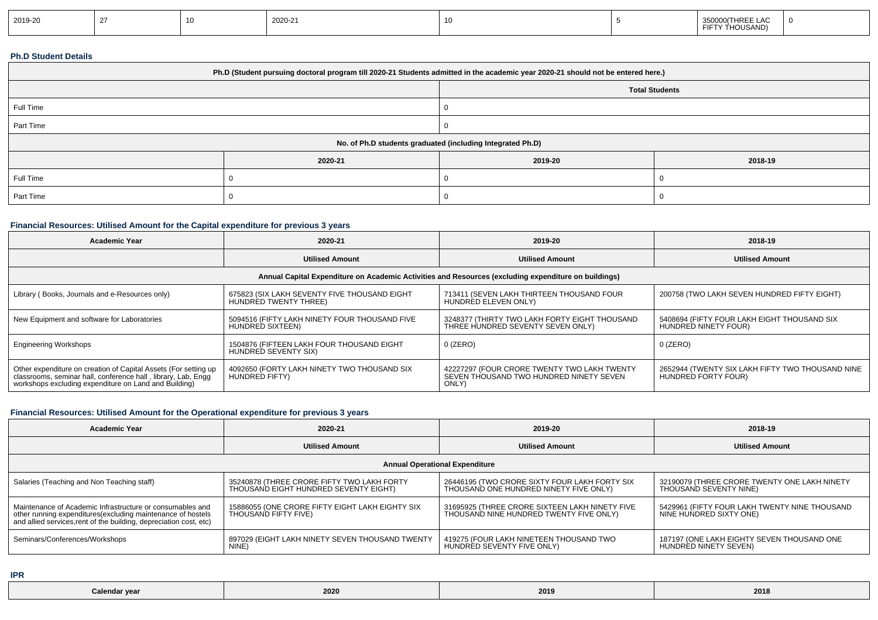| 2019-20<br>2020-21<br>350000(THREE LAC<br>$\overline{1}$<br>FIFTY THOUSAND) |  |
|-----------------------------------------------------------------------------|--|
|-----------------------------------------------------------------------------|--|

#### **Ph.D Student Details**

| Ph.D (Student pursuing doctoral program till 2020-21 Students admitted in the academic year 2020-21 should not be entered here.) |         |                       |         |  |  |  |
|----------------------------------------------------------------------------------------------------------------------------------|---------|-----------------------|---------|--|--|--|
|                                                                                                                                  |         | <b>Total Students</b> |         |  |  |  |
| Full Time                                                                                                                        |         |                       |         |  |  |  |
| Part Time                                                                                                                        |         |                       |         |  |  |  |
| No. of Ph.D students graduated (including Integrated Ph.D)                                                                       |         |                       |         |  |  |  |
|                                                                                                                                  | 2020-21 | 2019-20               | 2018-19 |  |  |  |
| Full Time                                                                                                                        |         |                       |         |  |  |  |
| Part Time                                                                                                                        |         |                       |         |  |  |  |

### **Financial Resources: Utilised Amount for the Capital expenditure for previous 3 years**

| <b>Academic Year</b>                                                                                                                                                                      | 2020-21                                                               | 2019-20                                                                                         | 2018-19                                                                 |  |  |  |  |
|-------------------------------------------------------------------------------------------------------------------------------------------------------------------------------------------|-----------------------------------------------------------------------|-------------------------------------------------------------------------------------------------|-------------------------------------------------------------------------|--|--|--|--|
|                                                                                                                                                                                           | <b>Utilised Amount</b>                                                | <b>Utilised Amount</b>                                                                          | <b>Utilised Amount</b>                                                  |  |  |  |  |
| Annual Capital Expenditure on Academic Activities and Resources (excluding expenditure on buildings)                                                                                      |                                                                       |                                                                                                 |                                                                         |  |  |  |  |
| Library (Books, Journals and e-Resources only)                                                                                                                                            | 675823 (SIX LAKH SEVENTY FIVE THOUSAND EIGHT<br>HUNDRED TWENTY THREE) | 713411 (SEVEN LAKH THIRTEEN THOUSAND FOUR<br>HUNDRED ELEVEN ONLY)                               | 200758 (TWO LAKH SEVEN HUNDRED FIFTY EIGHT)                             |  |  |  |  |
| New Equipment and software for Laboratories                                                                                                                                               | 5094516 (FIFTY LAKH NINETY FOUR THOUSAND FIVE<br>HUNDRED SIXTEEN)     | 3248377 (THIRTY TWO LAKH FORTY EIGHT THOUSAND<br>THREE HUNDRED SEVENTY SEVEN ONLY)              | 5408694 (FIFTY FOUR LAKH EIGHT THOUSAND SIX<br>HUNDRED NINETY FOUR)     |  |  |  |  |
| <b>Engineering Workshops</b>                                                                                                                                                              | 1504876 (FIFTEEN LAKH FOUR THOUSAND EIGHT<br>HUNDRED SEVENTY SIX)     | $0$ (ZERO)                                                                                      | 0 (ZERO)                                                                |  |  |  |  |
| Other expenditure on creation of Capital Assets (For setting up<br>classrooms, seminar hall, conference hall, library, Lab, Engq<br>workshops excluding expenditure on Land and Building) | 4092650 (FORTY LAKH NINETY TWO THOUSAND SIX<br>HUNDRED FIFTY)         | 42227297 (FOUR CRORE TWENTY TWO LAKH TWENTY<br>SEVEN THOUSAND TWO HUNDRED NINETY SEVEN<br>ONLY) | 2652944 (TWENTY SIX LAKH FIFTY TWO THOUSAND NINE<br>HUNDRED FORTY FOUR) |  |  |  |  |

# **Financial Resources: Utilised Amount for the Operational expenditure for previous 3 years**

| <b>Academic Year</b>                                                                                                                                                                            | 2020-21                                                                             | 2019-20                                                                                   | 2018-19                                                                  |  |  |  |  |
|-------------------------------------------------------------------------------------------------------------------------------------------------------------------------------------------------|-------------------------------------------------------------------------------------|-------------------------------------------------------------------------------------------|--------------------------------------------------------------------------|--|--|--|--|
|                                                                                                                                                                                                 | <b>Utilised Amount</b>                                                              | <b>Utilised Amount</b>                                                                    | <b>Utilised Amount</b>                                                   |  |  |  |  |
| <b>Annual Operational Expenditure</b>                                                                                                                                                           |                                                                                     |                                                                                           |                                                                          |  |  |  |  |
| Salaries (Teaching and Non Teaching staff)                                                                                                                                                      | 35240878 (THREE CRORE FIFTY TWO LAKH FORTY<br>THOUSAND EIGHT HUNDRED SEVENTY EIGHT) | 26446195 (TWO CRORE SIXTY FOUR LAKH FORTY SIX<br>THOUSAND ONE HUNDRED NINETY FIVE ONLY)   | 32190079 (THREE CRORE TWENTY ONE LAKH NINETY<br>THOUSAND SEVENTY NINE)   |  |  |  |  |
| Maintenance of Academic Infrastructure or consumables and<br>other running expenditures (excluding maintenance of hostels<br>and allied services, rent of the building, depreciation cost, etc) | 15886055 (ONE CRORE FIFTY EIGHT LAKH EIGHTY SIX<br>THOUSAND FIFTY FIVE)             | 31695925 (THREE CRORE SIXTEEN LAKH NINETY FIVE<br>THOUSAND NINE HUNDRED TWENTY FIVE ONLY) | 5429961 (FIFTY FOUR LAKH TWENTY NINE THOUSAND<br>NINE HUNDRED SIXTY ONE) |  |  |  |  |
| Seminars/Conferences/Workshops                                                                                                                                                                  | 897029 (EIGHT LAKH NINETY SEVEN THOUSAND TWENTY<br>NINE)                            | 419275 (FOUR LAKH NINETEEN THOUSAND TWO<br>HUNDRED SEVENTY FIVE ONLY)                     | 187197 (ONE LAKH EIGHTY SEVEN THOUSAND ONE<br>HUNDRED NINETY SEVEN)      |  |  |  |  |

**IPR**

| Calendaı<br>ar vear<br>. | 2020 | 201 | 2018 |
|--------------------------|------|-----|------|
|                          |      |     |      |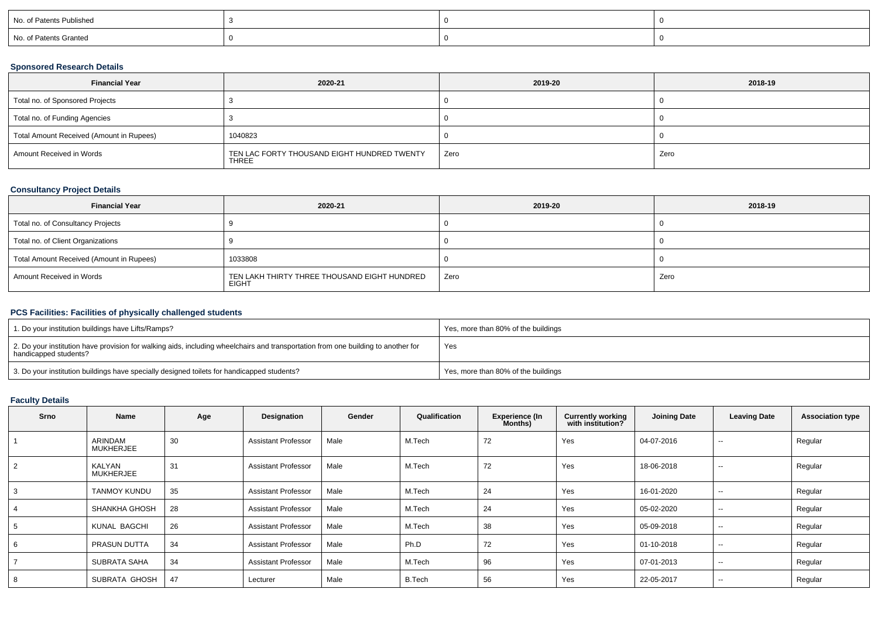| No. of Patents Published |  |  |
|--------------------------|--|--|
| No. of Patents Granted   |  |  |

### **Sponsored Research Details**

| <b>Financial Year</b>                    | 2020-21                                                     | 2019-20 | 2018-19 |
|------------------------------------------|-------------------------------------------------------------|---------|---------|
| Total no. of Sponsored Projects          |                                                             |         |         |
| Total no. of Funding Agencies            |                                                             |         |         |
| Total Amount Received (Amount in Rupees) | 1040823                                                     |         |         |
| Amount Received in Words                 | TEN LAC FORTY THOUSAND EIGHT HUNDRED TWENTY<br><b>THREE</b> | Zero    | Zero    |

### **Consultancy Project Details**

| <b>Financial Year</b>                    | 2020-21                                                      | 2019-20 | 2018-19 |
|------------------------------------------|--------------------------------------------------------------|---------|---------|
| Total no. of Consultancy Projects        |                                                              |         |         |
| Total no. of Client Organizations        |                                                              |         |         |
| Total Amount Received (Amount in Rupees) | 1033808                                                      |         |         |
| Amount Received in Words                 | TEN LAKH THIRTY THREE THOUSAND EIGHT HUNDRED<br><b>EIGHT</b> | Zero    | Zero    |

#### **PCS Facilities: Facilities of physically challenged students**

| 1. Do your institution buildings have Lifts/Ramps?                                                                                                         | Yes, more than 80% of the buildings |
|------------------------------------------------------------------------------------------------------------------------------------------------------------|-------------------------------------|
| 2. Do your institution have provision for walking aids, including wheelchairs and transportation from one building to another for<br>handicapped students? | Yes                                 |
| 3. Do your institution buildings have specially designed toilets for handicapped students?                                                                 | Yes, more than 80% of the buildings |

## **Faculty Details**

| Srno           | Name                              | Age | Designation                | Gender | Qualification | <b>Experience (In</b><br>Months) | <b>Currently working</b><br>with institution? | <b>Joining Date</b> | <b>Leaving Date</b>      | <b>Association type</b> |
|----------------|-----------------------------------|-----|----------------------------|--------|---------------|----------------------------------|-----------------------------------------------|---------------------|--------------------------|-------------------------|
|                | ARINDAM<br><b>MUKHERJEE</b>       | 30  | <b>Assistant Professor</b> | Male   | M.Tech        | 72                               | Yes                                           | 04-07-2016          | $\sim$                   | Regular                 |
| $\mathfrak{p}$ | <b>KALYAN</b><br><b>MUKHERJEE</b> | 31  | <b>Assistant Professor</b> | Male   | M.Tech        | 72                               | Yes                                           | 18-06-2018          | $\sim$                   | Regular                 |
|                | TANMOY KUNDU                      | 35  | <b>Assistant Professor</b> | Male   | M.Tech        | 24                               | Yes                                           | 16-01-2020          | $\sim$                   | Regular                 |
|                | <b>SHANKHA GHOSH</b>              | 28  | <b>Assistant Professor</b> | Male   | M.Tech        | 24                               | Yes                                           | 05-02-2020          | $\overline{\phantom{a}}$ | Regular                 |
|                | KUNAL BAGCHI                      | 26  | <b>Assistant Professor</b> | Male   | M.Tech        | 38                               | Yes                                           | 05-09-2018          | $\sim$                   | Regular                 |
|                | PRASUN DUTTA                      | 34  | <b>Assistant Professor</b> | Male   | Ph.D          | 72                               | Yes                                           | 01-10-2018          | $\sim$                   | Regular                 |
|                | SUBRATA SAHA                      | 34  | <b>Assistant Professor</b> | Male   | M.Tech        | 96                               | Yes                                           | 07-01-2013          | $\overline{\phantom{a}}$ | Regular                 |
|                | SUBRATA GHOSH                     | 47  | Lecturer                   | Male   | <b>B.Tech</b> | 56                               | Yes                                           | 22-05-2017          | $\overline{\phantom{a}}$ | Regular                 |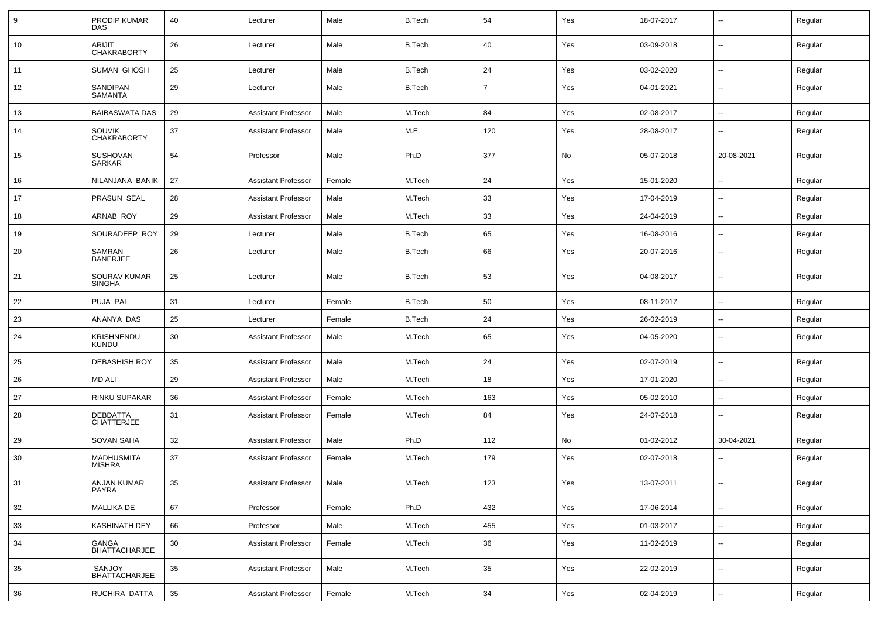| 9  | PRODIP KUMAR<br><b>DAS</b>          | 40     | Lecturer                   | Male   | <b>B.Tech</b> | 54             | Yes | 18-07-2017 | $\overline{\phantom{a}}$ | Regular |
|----|-------------------------------------|--------|----------------------------|--------|---------------|----------------|-----|------------|--------------------------|---------|
| 10 | <b>ARIJIT</b><br><b>CHAKRABORTY</b> | 26     | Lecturer                   | Male   | <b>B.Tech</b> | 40             | Yes | 03-09-2018 | $\sim$                   | Regular |
| 11 | <b>SUMAN GHOSH</b>                  | 25     | Lecturer                   | Male   | <b>B.Tech</b> | 24             | Yes | 03-02-2020 | $\ddot{\phantom{a}}$     | Regular |
| 12 | SANDIPAN<br>SAMANTA                 | 29     | Lecturer                   | Male   | <b>B.Tech</b> | $\overline{7}$ | Yes | 04-01-2021 | $\sim$                   | Regular |
| 13 | <b>BAIBASWATA DAS</b>               | 29     | <b>Assistant Professor</b> | Male   | M.Tech        | 84             | Yes | 02-08-2017 | $\sim$                   | Regular |
| 14 | <b>SOUVIK</b><br><b>CHAKRABORTY</b> | 37     | <b>Assistant Professor</b> | Male   | M.E.          | 120            | Yes | 28-08-2017 | $\overline{\phantom{a}}$ | Regular |
| 15 | <b>SUSHOVAN</b><br>SARKAR           | 54     | Professor                  | Male   | Ph.D          | 377            | No  | 05-07-2018 | 20-08-2021               | Regular |
| 16 | NILANJANA BANIK                     | 27     | <b>Assistant Professor</b> | Female | M.Tech        | 24             | Yes | 15-01-2020 | --                       | Regular |
| 17 | PRASUN SEAL                         | 28     | <b>Assistant Professor</b> | Male   | M.Tech        | 33             | Yes | 17-04-2019 | $\overline{\phantom{a}}$ | Regular |
| 18 | ARNAB ROY                           | 29     | <b>Assistant Professor</b> | Male   | M.Tech        | 33             | Yes | 24-04-2019 | $\overline{a}$           | Regular |
| 19 | SOURADEEP ROY                       | 29     | Lecturer                   | Male   | <b>B.Tech</b> | 65             | Yes | 16-08-2016 | --                       | Regular |
| 20 | SAMRAN<br><b>BANERJEE</b>           | 26     | Lecturer                   | Male   | <b>B.Tech</b> | 66             | Yes | 20-07-2016 | $\sim$                   | Regular |
| 21 | SOURAV KUMAR<br><b>SINGHA</b>       | 25     | Lecturer                   | Male   | <b>B.Tech</b> | 53             | Yes | 04-08-2017 | Ξ.                       | Regular |
| 22 | PUJA PAL                            | 31     | Lecturer                   | Female | <b>B.Tech</b> | 50             | Yes | 08-11-2017 | $\sim$                   | Regular |
| 23 | ANANYA DAS                          | 25     | Lecturer                   | Female | <b>B.Tech</b> | 24             | Yes | 26-02-2019 | $\sim$                   | Regular |
| 24 | Krishnendu<br>Kundu                 | 30     | <b>Assistant Professor</b> | Male   | M.Tech        | 65             | Yes | 04-05-2020 | ۰.                       | Regular |
| 25 | <b>DEBASHISH ROY</b>                | 35     | <b>Assistant Professor</b> | Male   | M.Tech        | 24             | Yes | 02-07-2019 | --                       | Regular |
| 26 | <b>MD ALI</b>                       | 29     | <b>Assistant Professor</b> | Male   | M.Tech        | 18             | Yes | 17-01-2020 | $\sim$                   | Regular |
| 27 | RINKU SUPAKAR                       | 36     | <b>Assistant Professor</b> | Female | M.Tech        | 163            | Yes | 05-02-2010 | $\overline{a}$           | Regular |
| 28 | DEBDATTA<br><b>CHATTERJEE</b>       | 31     | <b>Assistant Professor</b> | Female | M.Tech        | 84             | Yes | 24-07-2018 |                          | Regular |
| 29 | <b>SOVAN SAHA</b>                   | 32     | <b>Assistant Professor</b> | Male   | Ph.D          | 112            | No  | 01-02-2012 | 30-04-2021               | Regular |
| 30 | <b>MADHUSMITA</b><br><b>MISHRA</b>  | 37     | <b>Assistant Professor</b> | Female | M.Tech        | 179            | Yes | 02-07-2018 |                          | Regular |
| 31 | <b>ANJAN KUMAR</b><br>PAYRA         | 35     | <b>Assistant Professor</b> | Male   | M.Tech        | 123            | Yes | 13-07-2011 | $\sim$                   | Regular |
| 32 | <b>MALLIKA DE</b>                   | 67     | Professor                  | Female | Ph.D          | 432            | Yes | 17-06-2014 | $\overline{\phantom{a}}$ | Regular |
| 33 | KASHINATH DEY                       | 66     | Professor                  | Male   | M.Tech        | 455            | Yes | 01-03-2017 | $\sim$                   | Regular |
| 34 | GANGA<br>BHATTACHARJEE              | $30\,$ | <b>Assistant Professor</b> | Female | M.Tech        | 36             | Yes | 11-02-2019 | $\overline{\phantom{a}}$ | Regular |
| 35 | SANJOY<br>BHATTACHARJEE             | 35     | <b>Assistant Professor</b> | Male   | M.Tech        | 35             | Yes | 22-02-2019 | --                       | Regular |
| 36 | RUCHIRA DATTA                       | 35     | <b>Assistant Professor</b> | Female | M.Tech        | 34             | Yes | 02-04-2019 | --                       | Regular |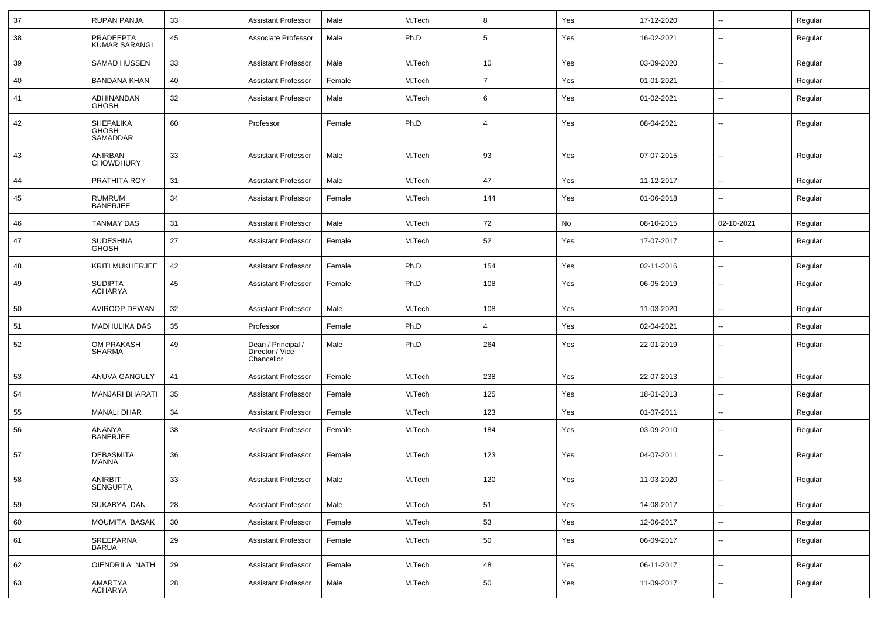| 37 | RUPAN PANJA                           | 33     | Assistant Professor                                 | Male   | M.Tech | 8              | Yes | 17-12-2020 | $\mathbf{u}$             | Regular |
|----|---------------------------------------|--------|-----------------------------------------------------|--------|--------|----------------|-----|------------|--------------------------|---------|
| 38 | PRADEEPTA<br><b>KUMAR SARANGI</b>     | 45     | Associate Professor                                 | Male   | Ph.D   | 5              | Yes | 16-02-2021 | --                       | Regular |
| 39 | <b>SAMAD HUSSEN</b>                   | 33     | <b>Assistant Professor</b>                          | Male   | M.Tech | 10             | Yes | 03-09-2020 | $\overline{\phantom{a}}$ | Regular |
| 40 | <b>BANDANA KHAN</b>                   | 40     | <b>Assistant Professor</b>                          | Female | M.Tech | $\overline{7}$ | Yes | 01-01-2021 | $\overline{\phantom{a}}$ | Regular |
| 41 | ABHINANDAN<br><b>GHOSH</b>            | 32     | <b>Assistant Professor</b>                          | Male   | M.Tech | 6              | Yes | 01-02-2021 | $\overline{\phantom{a}}$ | Regular |
| 42 | SHEFALIKA<br><b>GHOSH</b><br>SAMADDAR | 60     | Professor                                           | Female | Ph.D   | 4              | Yes | 08-04-2021 | $\overline{\phantom{a}}$ | Regular |
| 43 | ANIRBAN<br><b>CHOWDHURY</b>           | 33     | <b>Assistant Professor</b>                          | Male   | M.Tech | 93             | Yes | 07-07-2015 | $\overline{\phantom{a}}$ | Regular |
| 44 | PRATHITA ROY                          | 31     | <b>Assistant Professor</b>                          | Male   | M.Tech | 47             | Yes | 11-12-2017 | $\overline{\phantom{a}}$ | Regular |
| 45 | RUMRUM<br><b>BANERJEE</b>             | 34     | Assistant Professor                                 | Female | M.Tech | 144            | Yes | 01-06-2018 | --                       | Regular |
| 46 | TANMAY DAS                            | 31     | <b>Assistant Professor</b>                          | Male   | M.Tech | 72             | No  | 08-10-2015 | 02-10-2021               | Regular |
| 47 | <b>SUDESHNA</b><br><b>GHOSH</b>       | 27     | <b>Assistant Professor</b>                          | Female | M.Tech | 52             | Yes | 17-07-2017 |                          | Regular |
| 48 | <b>KRITI MUKHERJEE</b>                | 42     | <b>Assistant Professor</b>                          | Female | Ph.D   | 154            | Yes | 02-11-2016 | $\mathbf{u}$             | Regular |
| 49 | <b>SUDIPTA</b><br><b>ACHARYA</b>      | 45     | <b>Assistant Professor</b>                          | Female | Ph.D   | 108            | Yes | 06-05-2019 | $\mathbf{u}$             | Regular |
| 50 | <b>AVIROOP DEWAN</b>                  | 32     | <b>Assistant Professor</b>                          | Male   | M.Tech | 108            | Yes | 11-03-2020 |                          | Regular |
| 51 | MADHULIKA DAS                         | 35     | Professor                                           | Female | Ph.D   | 4              | Yes | 02-04-2021 | $\sim$                   | Regular |
| 52 | OM PRAKASH<br>SHARMA                  | 49     | Dean / Principal /<br>Director / Vice<br>Chancellor | Male   | Ph.D   | 264            | Yes | 22-01-2019 | --                       | Regular |
| 53 | ANUVA GANGULY                         | 41     | Assistant Professor                                 | Female | M.Tech | 238            | Yes | 22-07-2013 | $\sim$                   | Regular |
| 54 | <b>MANJARI BHARATI</b>                | 35     | <b>Assistant Professor</b>                          | Female | M.Tech | 125            | Yes | 18-01-2013 | $\overline{\phantom{a}}$ | Regular |
| 55 | <b>MANALI DHAR</b>                    | 34     | <b>Assistant Professor</b>                          | Female | M.Tech | 123            | Yes | 01-07-2011 | $\mathbf{u}$             | Regular |
| 56 | ANANYA<br><b>BANERJEE</b>             | 38     | <b>Assistant Professor</b>                          | Female | M.Tech | 184            | Yes | 03-09-2010 | $\overline{\phantom{a}}$ | Regular |
| 57 | <b>DEBASMITA</b><br>MANNA             | 36     | <b>Assistant Professor</b>                          | Female | M.Tech | 123            | Yes | 04-07-2011 | $\overline{\phantom{a}}$ | Regular |
| 58 | ANIRBIT<br><b>SENGUPTA</b>            | $33\,$ | Assistant Professor                                 | Male   | M.Tech | 120            | Yes | 11-03-2020 | -−                       | Regular |
| 59 | SUKABYA DAN                           | 28     | Assistant Professor                                 | Male   | M.Tech | 51             | Yes | 14-08-2017 | $\sim$                   | Regular |
| 60 | MOUMITA BASAK                         | $30\,$ | <b>Assistant Professor</b>                          | Female | M.Tech | 53             | Yes | 12-06-2017 | $\sim$                   | Regular |
| 61 | SREEPARNA<br><b>BARUA</b>             | 29     | <b>Assistant Professor</b>                          | Female | M.Tech | 50             | Yes | 06-09-2017 | $\sim$                   | Regular |
| 62 | OIENDRILA NATH                        | 29     | <b>Assistant Professor</b>                          | Female | M.Tech | 48             | Yes | 06-11-2017 | $\sim$                   | Regular |
| 63 | AMARTYA<br>ACHARYA                    | 28     | <b>Assistant Professor</b>                          | Male   | M.Tech | 50             | Yes | 11-09-2017 | $\overline{\phantom{a}}$ | Regular |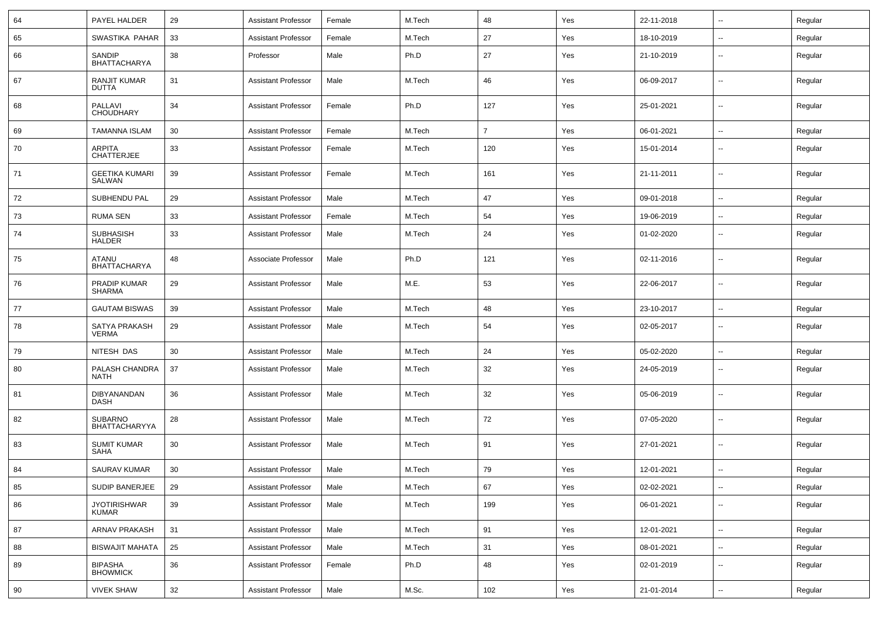| 64 | PAYEL HALDER                           | 29 | <b>Assistant Professor</b> | Female | M.Tech | 48             | Yes | 22-11-2018 | ⊷.                       | Regular |
|----|----------------------------------------|----|----------------------------|--------|--------|----------------|-----|------------|--------------------------|---------|
| 65 | SWASTIKA PAHAR                         | 33 | <b>Assistant Professor</b> | Female | M.Tech | 27             | Yes | 18-10-2019 | --                       | Regular |
| 66 | SANDIP<br><b>BHATTACHARYA</b>          | 38 | Professor                  | Male   | Ph.D   | 27             | Yes | 21-10-2019 | -−                       | Regular |
| 67 | RANJIT KUMAR<br><b>DUTTA</b>           | 31 | <b>Assistant Professor</b> | Male   | M.Tech | 46             | Yes | 06-09-2017 | $\overline{\phantom{a}}$ | Regular |
| 68 | PALLAVI<br><b>CHOUDHARY</b>            | 34 | <b>Assistant Professor</b> | Female | Ph.D   | 127            | Yes | 25-01-2021 | ⊷.                       | Regular |
| 69 | <b>TAMANNA ISLAM</b>                   | 30 | <b>Assistant Professor</b> | Female | M.Tech | $\overline{7}$ | Yes | 06-01-2021 | -−                       | Regular |
| 70 | <b>ARPITA</b><br><b>CHATTERJEE</b>     | 33 | <b>Assistant Professor</b> | Female | M.Tech | 120            | Yes | 15-01-2014 | --                       | Regular |
| 71 | <b>GEETIKA KUMARI</b><br>SALWAN        | 39 | <b>Assistant Professor</b> | Female | M.Tech | 161            | Yes | 21-11-2011 | $\overline{\phantom{a}}$ | Regular |
| 72 | SUBHENDU PAL                           | 29 | <b>Assistant Professor</b> | Male   | M.Tech | 47             | Yes | 09-01-2018 | --                       | Regular |
| 73 | <b>RUMA SEN</b>                        | 33 | <b>Assistant Professor</b> | Female | M.Tech | 54             | Yes | 19-06-2019 | --                       | Regular |
| 74 | <b>SUBHASISH</b><br><b>HALDER</b>      | 33 | <b>Assistant Professor</b> | Male   | M.Tech | 24             | Yes | 01-02-2020 | $\overline{\phantom{a}}$ | Regular |
| 75 | ATANU<br><b>BHATTACHARYA</b>           | 48 | Associate Professor        | Male   | Ph.D   | 121            | Yes | 02-11-2016 | ⊷.                       | Regular |
| 76 | PRADIP KUMAR<br><b>SHARMA</b>          | 29 | <b>Assistant Professor</b> | Male   | M.E.   | 53             | Yes | 22-06-2017 | $\overline{\phantom{a}}$ | Regular |
| 77 | <b>GAUTAM BISWAS</b>                   | 39 | <b>Assistant Professor</b> | Male   | M.Tech | 48             | Yes | 23-10-2017 | $\overline{\phantom{a}}$ | Regular |
| 78 | SATYA PRAKASH<br><b>VERMA</b>          | 29 | <b>Assistant Professor</b> | Male   | M.Tech | 54             | Yes | 02-05-2017 | --                       | Regular |
| 79 | NITESH DAS                             | 30 | <b>Assistant Professor</b> | Male   | M.Tech | 24             | Yes | 05-02-2020 | $\overline{\phantom{a}}$ | Regular |
| 80 | PALASH CHANDRA<br><b>NATH</b>          | 37 | <b>Assistant Professor</b> | Male   | M.Tech | 32             | Yes | 24-05-2019 | ⊷.                       | Regular |
| 81 | DIBYANANDAN<br><b>DASH</b>             | 36 | <b>Assistant Professor</b> | Male   | M.Tech | 32             | Yes | 05-06-2019 | --                       | Regular |
| 82 | <b>SUBARNO</b><br><b>BHATTACHARYYA</b> | 28 | <b>Assistant Professor</b> | Male   | M.Tech | 72             | Yes | 07-05-2020 | --                       | Regular |
| 83 | <b>SUMIT KUMAR</b><br><b>SAHA</b>      | 30 | <b>Assistant Professor</b> | Male   | M.Tech | 91             | Yes | 27-01-2021 | ⊷.                       | Regular |
| 84 | <b>SAURAV KUMAR</b>                    | 30 | <b>Assistant Professor</b> | Male   | M.Tech | 79             | Yes | 12-01-2021 |                          | Regular |
| 85 | SUDIP BANERJEE                         | 29 | <b>Assistant Professor</b> | Male   | M.Tech | 67             | Yes | 02-02-2021 | Щ,                       | Regular |
| 86 | <b>JYOTIRISHWAR</b><br>KUMAR           | 39 | <b>Assistant Professor</b> | Male   | M.Tech | 199            | Yes | 06-01-2021 | $\overline{\phantom{a}}$ | Regular |
| 87 | ARNAV PRAKASH                          | 31 | <b>Assistant Professor</b> | Male   | M.Tech | 91             | Yes | 12-01-2021 | $\sim$                   | Regular |
| 88 | <b>BISWAJIT MAHATA</b>                 | 25 | <b>Assistant Professor</b> | Male   | M.Tech | 31             | Yes | 08-01-2021 | $\sim$                   | Regular |
| 89 | <b>BIPASHA</b><br><b>BHOWMICK</b>      | 36 | <b>Assistant Professor</b> | Female | Ph.D   | 48             | Yes | 02-01-2019 | н.                       | Regular |
| 90 | <b>VIVEK SHAW</b>                      | 32 | <b>Assistant Professor</b> | Male   | M.Sc.  | 102            | Yes | 21-01-2014 | $\sim$                   | Regular |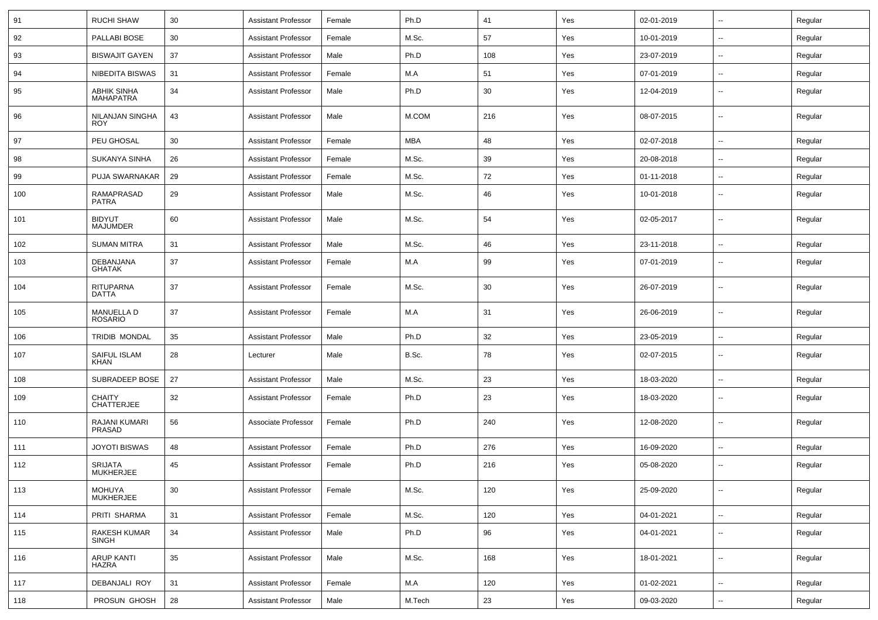| 91  | <b>RUCHI SHAW</b>               | 30 | <b>Assistant Professor</b> | Female | Ph.D       | 41  | Yes | 02-01-2019 | $\overline{\phantom{a}}$ | Regular |
|-----|---------------------------------|----|----------------------------|--------|------------|-----|-----|------------|--------------------------|---------|
| 92  | PALLABI BOSE                    | 30 | <b>Assistant Professor</b> | Female | M.Sc.      | 57  | Yes | 10-01-2019 | $\overline{\phantom{a}}$ | Regular |
| 93  | <b>BISWAJIT GAYEN</b>           | 37 | <b>Assistant Professor</b> | Male   | Ph.D       | 108 | Yes | 23-07-2019 | --                       | Regular |
| 94  | <b>NIBEDITA BISWAS</b>          | 31 | <b>Assistant Professor</b> | Female | M.A        | 51  | Yes | 07-01-2019 | --                       | Regular |
| 95  | <b>ABHIK SINHA</b><br>MAHAPATRA | 34 | <b>Assistant Professor</b> | Male   | Ph.D       | 30  | Yes | 12-04-2019 | $\overline{\phantom{a}}$ | Regular |
| 96  | NILANJAN SINGHA<br><b>ROY</b>   | 43 | <b>Assistant Professor</b> | Male   | M.COM      | 216 | Yes | 08-07-2015 | $\overline{\phantom{a}}$ | Regular |
| 97  | PEU GHOSAL                      | 30 | <b>Assistant Professor</b> | Female | <b>MBA</b> | 48  | Yes | 02-07-2018 | $\overline{\phantom{a}}$ | Regular |
| 98  | SUKANYA SINHA                   | 26 | <b>Assistant Professor</b> | Female | M.Sc.      | 39  | Yes | 20-08-2018 | $\overline{a}$           | Regular |
| 99  | PUJA SWARNAKAR                  | 29 | <b>Assistant Professor</b> | Female | M.Sc.      | 72  | Yes | 01-11-2018 | $\overline{\phantom{a}}$ | Regular |
| 100 | RAMAPRASAD<br>PATRA             | 29 | <b>Assistant Professor</b> | Male   | M.Sc.      | 46  | Yes | 10-01-2018 | --                       | Regular |
| 101 | <b>BIDYUT</b><br>MAJUMDER       | 60 | <b>Assistant Professor</b> | Male   | M.Sc.      | 54  | Yes | 02-05-2017 | $\overline{\phantom{a}}$ | Regular |
| 102 | <b>SUMAN MITRA</b>              | 31 | <b>Assistant Professor</b> | Male   | M.Sc.      | 46  | Yes | 23-11-2018 | ⊷.                       | Regular |
| 103 | DEBANJANA<br>GHATAK             | 37 | <b>Assistant Professor</b> | Female | M.A        | 99  | Yes | 07-01-2019 | --                       | Regular |
| 104 | <b>RITUPARNA</b><br>DATTA       | 37 | <b>Assistant Professor</b> | Female | M.Sc.      | 30  | Yes | 26-07-2019 | --                       | Regular |
| 105 | <b>MANUELLA D</b><br>ROSARIO    | 37 | <b>Assistant Professor</b> | Female | M.A        | 31  | Yes | 26-06-2019 | $\overline{\phantom{a}}$ | Regular |
| 106 | <b>TRIDIB MONDAL</b>            | 35 | <b>Assistant Professor</b> | Male   | Ph.D       | 32  | Yes | 23-05-2019 | --                       | Regular |
| 107 | SAIFUL ISLAM<br><b>KHAN</b>     | 28 | Lecturer                   | Male   | B.Sc.      | 78  | Yes | 02-07-2015 | $\overline{\phantom{a}}$ | Regular |
| 108 | SUBRADEEP BOSE                  | 27 | <b>Assistant Professor</b> | Male   | M.Sc.      | 23  | Yes | 18-03-2020 | --                       | Regular |
| 109 | <b>CHAITY</b><br>CHATTERJEE     | 32 | <b>Assistant Professor</b> | Female | Ph.D       | 23  | Yes | 18-03-2020 | $\overline{\phantom{a}}$ | Regular |
| 110 | RAJANI KUMARI<br>PRASAD         | 56 | Associate Professor        | Female | Ph.D       | 240 | Yes | 12-08-2020 | --                       | Regular |
| 111 | <b>JOYOTI BISWAS</b>            | 48 | <b>Assistant Professor</b> | Female | Ph.D       | 276 | Yes | 16-09-2020 | --                       | Regular |
| 112 | <b>SRIJATA</b><br>MUKHERJEE     | 45 | <b>Assistant Professor</b> | Female | Ph.D       | 216 | Yes | 05-08-2020 | --                       | Regular |
| 113 | MOHUYA<br>MUKHERJEE             | 30 | <b>Assistant Professor</b> | Female | M.Sc.      | 120 | Yes | 25-09-2020 | -−                       | Regular |
| 114 | PRITI SHARMA                    | 31 | <b>Assistant Professor</b> | Female | M.Sc.      | 120 | Yes | 04-01-2021 | $\overline{\phantom{a}}$ | Regular |
| 115 | RAKESH KUMAR<br><b>SINGH</b>    | 34 | <b>Assistant Professor</b> | Male   | Ph.D       | 96  | Yes | 04-01-2021 | $\overline{\phantom{a}}$ | Regular |
| 116 | <b>ARUP KANTI</b><br>HAZRA      | 35 | <b>Assistant Professor</b> | Male   | M.Sc.      | 168 | Yes | 18-01-2021 | Ξ.                       | Regular |
| 117 | DEBANJALI ROY                   | 31 | <b>Assistant Professor</b> | Female | M.A        | 120 | Yes | 01-02-2021 | $\sim$                   | Regular |
| 118 | PROSUN GHOSH                    | 28 | <b>Assistant Professor</b> | Male   | M.Tech     | 23  | Yes | 09-03-2020 | $\sim$                   | Regular |